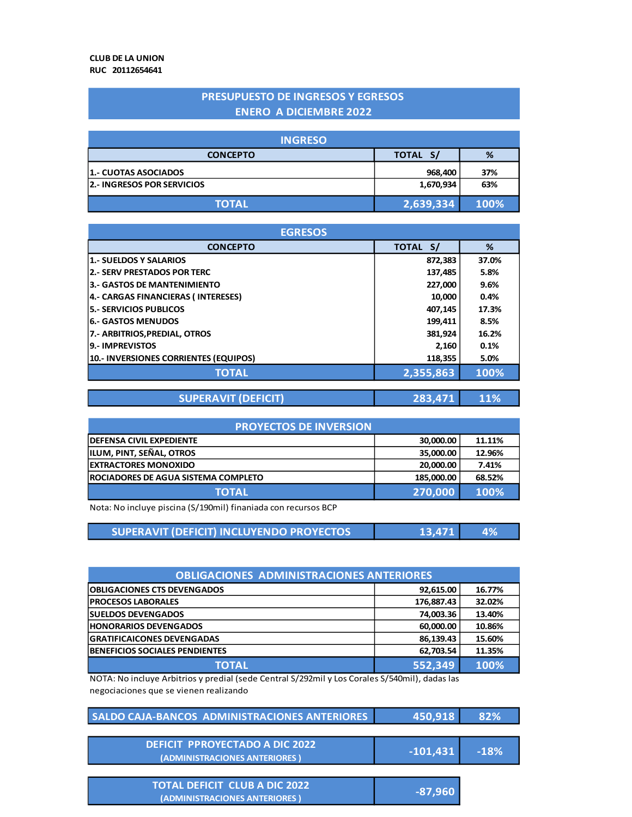#### **PRESUPUESTO DE INGRESOS Y EGRESOS ENERO A DICIEMBRE 2022**

| <b>INGRESO</b>                    |           |      |
|-----------------------------------|-----------|------|
| <b>CONCEPTO</b>                   | TOTAL S/  | %    |
| 1.- CUOTAS ASOCIADOS              | 968,400   | 37%  |
| <b>2.- INGRESOS POR SERVICIOS</b> | 1,670,934 | 63%  |
| <b>TOTAL</b>                      | 2,639,334 | 100% |

| <b>EGRESOS</b>                        |           |       |
|---------------------------------------|-----------|-------|
| <b>CONCEPTO</b>                       | TOTAL S/  | %     |
| 1.- SUELDOS Y SALARIOS                | 872,383   | 37.0% |
| 2.- SERV PRESTADOS POR TERC           | 137,485   | 5.8%  |
| 3.- GASTOS DE MANTENIMIENTO           | 227,000   | 9.6%  |
| 4.- CARGAS FINANCIERAS (INTERESES)    | 10,000    | 0.4%  |
| 5.- SERVICIOS PUBLICOS                | 407,145   | 17.3% |
| 6.- GASTOS MENUDOS                    | 199,411   | 8.5%  |
| 7.- ARBITRIOS, PREDIAL, OTROS         | 381.924   | 16.2% |
| 9.- IMPREVISTOS                       | 2,160     | 0.1%  |
| 10.- INVERSIONES CORRIENTES (EQUIPOS) | 118,355   | 5.0%  |
| <b>TOTAL</b>                          | 2,355,863 | 100%  |

| <b>SUPERAVIT (DEFICIT)</b> | 283,471 11% |  |
|----------------------------|-------------|--|
|----------------------------|-------------|--|

| <b>PROYECTOS DE INVERSION</b>              |            |        |
|--------------------------------------------|------------|--------|
| <b>DEFENSA CIVIL EXPEDIENTE</b>            | 30,000.00  | 11.11% |
| <b>ILUM, PINT, SEÑAL, OTROS</b>            | 35,000.00  | 12.96% |
| <b>EXTRACTORES MONOXIDO</b>                | 20.000.00  | 7.41%  |
| <b>ROCIADORES DE AGUA SISTEMA COMPLETO</b> | 185,000.00 | 68.52% |
| <b>TOTAL</b>                               | 270,000    | 100%   |

Nota: No incluye piscina (S/190mil) finaniada con recursos BCP

| SUPERAVIT (DEFICIT) INCLUYENDO PROYECTOS | 13,471 | 4% |
|------------------------------------------|--------|----|
|------------------------------------------|--------|----|

| <b>OBLIGACIONES ADMINISTRACIONES ANTERIORES</b> |            |        |
|-------------------------------------------------|------------|--------|
| <b>OBLIGACIONES CTS DEVENGADOS</b>              | 92,615.00  | 16.77% |
| <b>PROCESOS LABORALES</b>                       | 176,887.43 | 32.02% |
| <b>SUELDOS DEVENGADOS</b>                       | 74,003.36  | 13.40% |
| <b>HONORARIOS DEVENGADOS</b>                    | 60,000.00  | 10.86% |
| <b>GRATIFICAICONES DEVENGADAS</b>               | 86,139.43  | 15.60% |
| <b>BENEFICIOS SOCIALES PENDIENTES</b>           | 62,703.54  | 11.35% |
| <b>TOTAL</b>                                    | 552,349    | 100%   |

NOTA: No incluye Arbitrios y predial (sede Central S/292mil y Los Corales S/540mil), dadas las negociaciones que se vienen realizando

| SALDO CAJA-BANCOS ADMINISTRACIONES ANTERIORES | 450,918                          | 82%    |
|-----------------------------------------------|----------------------------------|--------|
|                                               |                                  |        |
| <b>DEFICIT PPROYECTADO A DIC 2022</b>         | $\left  \text{-101,431} \right $ | $-18%$ |
| (ADMINISTRACIONES ANTERIORES)                 |                                  |        |
|                                               |                                  |        |
| <b>TOTAL DEFICIT CLUB A DIC 2022</b>          | -87,960                          |        |
| (ADMINISTRACIONES ANTERIORES)                 |                                  |        |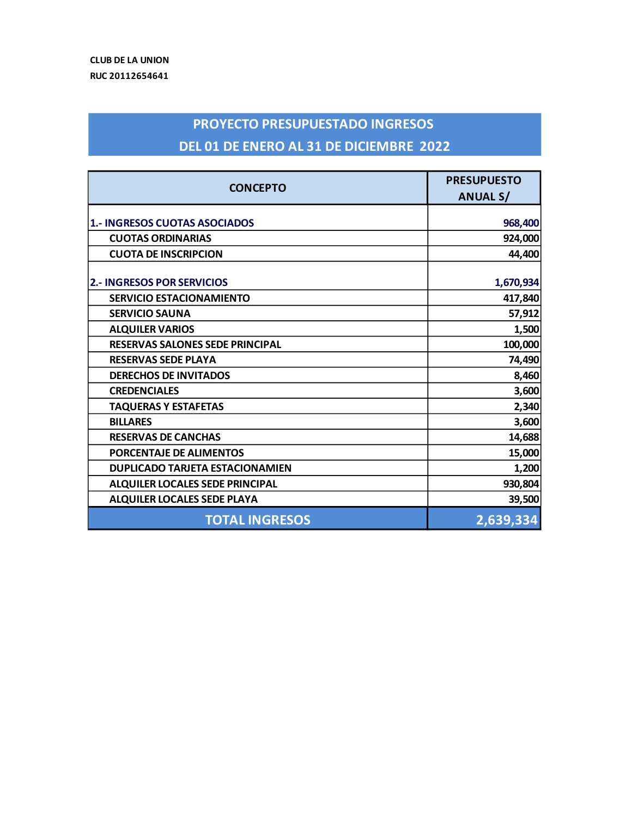# **PROYECTO PRESUPUESTADO INGRESOS DEL 01 DE ENERO AL 31 DE DICIEMBRE 2022**

|                                        | <b>PRESUPUESTO</b> |
|----------------------------------------|--------------------|
| <b>CONCEPTO</b>                        | <b>ANUAL S/</b>    |
|                                        |                    |
| 1.- INGRESOS CUOTAS ASOCIADOS          | 968,400            |
| <b>CUOTAS ORDINARIAS</b>               | 924,000            |
| <b>CUOTA DE INSCRIPCION</b>            | 44,400             |
| <b>2.- INGRESOS POR SERVICIOS</b>      | 1,670,934          |
| <b>SERVICIO ESTACIONAMIENTO</b>        | 417,840            |
| <b>SERVICIO SAUNA</b>                  | 57,912             |
| <b>ALQUILER VARIOS</b>                 | 1,500              |
| <b>RESERVAS SALONES SEDE PRINCIPAL</b> | 100,000            |
| <b>RESERVAS SEDE PLAYA</b>             | 74,490             |
| <b>DERECHOS DE INVITADOS</b>           | 8,460              |
| <b>CREDENCIALES</b>                    | 3,600              |
| <b>TAQUERAS Y ESTAFETAS</b>            | 2,340              |
| <b>BILLARES</b>                        | 3,600              |
| <b>RESERVAS DE CANCHAS</b>             | 14,688             |
| PORCENTAJE DE ALIMENTOS                | 15,000             |
| <b>DUPLICADO TARJETA ESTACIONAMIEN</b> | 1,200              |
| <b>ALQUILER LOCALES SEDE PRINCIPAL</b> | 930,804            |
| <b>ALQUILER LOCALES SEDE PLAYA</b>     | 39,500             |
| <b>TOTAL INGRESOS</b>                  | 2,639,334          |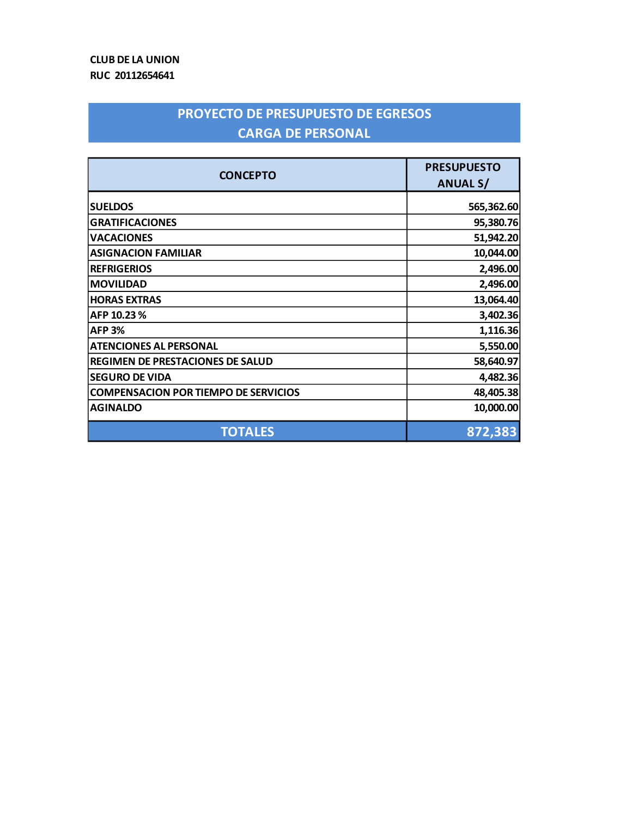## **PROYECTO DE PRESUPUESTO DE EGRESOS CARGA DE PERSONAL**

| <b>CONCEPTO</b>                             | <b>PRESUPUESTO</b><br><b>ANUAL S/</b> |
|---------------------------------------------|---------------------------------------|
| <b>SUELDOS</b>                              | 565,362.60                            |
| <b>GRATIFICACIONES</b>                      | 95,380.76                             |
| <b>VACACIONES</b>                           | 51,942.20                             |
| <b>ASIGNACION FAMILIAR</b>                  | 10,044.00                             |
| <b>REFRIGERIOS</b>                          | 2,496.00                              |
| <b>MOVILIDAD</b>                            | 2,496.00                              |
| <b>HORAS EXTRAS</b>                         | 13,064.40                             |
| AFP 10.23%                                  | 3,402.36                              |
| <b>AFP 3%</b>                               | 1,116.36                              |
| <b>ATENCIONES AL PERSONAL</b>               | 5,550.00                              |
| <b>REGIMEN DE PRESTACIONES DE SALUD</b>     | 58,640.97                             |
| <b>SEGURO DE VIDA</b>                       | 4,482.36                              |
| <b>COMPENSACION POR TIEMPO DE SERVICIOS</b> | 48,405.38                             |
| <b>AGINALDO</b>                             | 10,000.00                             |
| <b>TOTALES</b>                              | 872,383                               |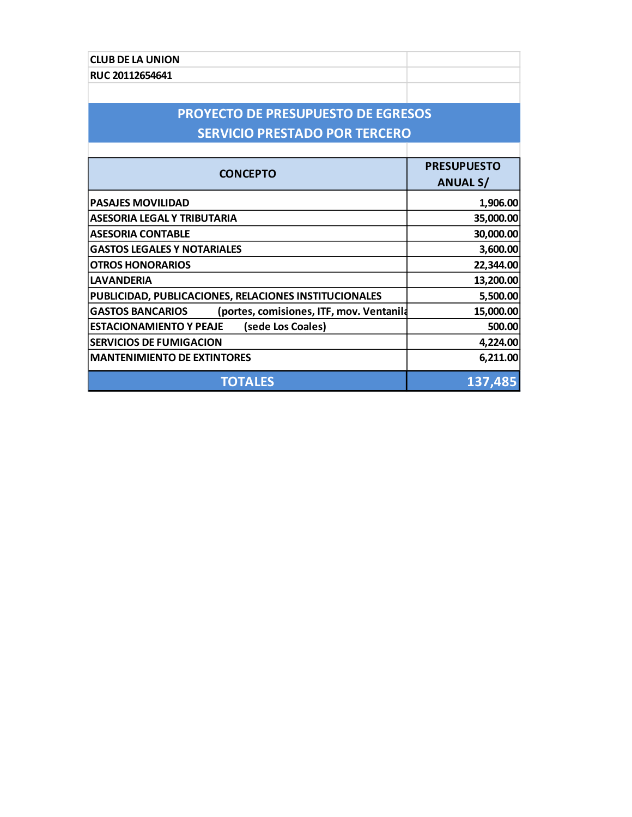| <b>CLUB DE LA UNION</b>                                             |                    |
|---------------------------------------------------------------------|--------------------|
| RUC 20112654641                                                     |                    |
|                                                                     |                    |
| <b>PROYECTO DE PRESUPUESTO DE EGRESOS</b>                           |                    |
| <b>SERVICIO PRESTADO POR TERCERO</b>                                |                    |
|                                                                     |                    |
|                                                                     | <b>PRESUPUESTO</b> |
| <b>CONCEPTO</b>                                                     | <b>ANUAL S/</b>    |
| <b>PASAJES MOVILIDAD</b>                                            | 1,906.00           |
| ASESORIA LEGAL Y TRIBUTARIA                                         | 35,000.00          |
| <b>ASESORIA CONTABLE</b>                                            | 30,000.00          |
| <b>GASTOS LEGALES Y NOTARIALES</b>                                  | 3,600.00           |
| <b>OTROS HONORARIOS</b>                                             | 22,344.00          |
| <b>LAVANDERIA</b>                                                   | 13,200.00          |
| PUBLICIDAD, PUBLICACIONES, RELACIONES INSTITUCIONALES               | 5,500.00           |
| <b>GASTOS BANCARIOS</b><br>(portes, comisiones, ITF, mov. Ventanila | 15,000.00          |
| (sede Los Coales)<br><b>ESTACIONAMIENTO Y PEAJE</b>                 | 500.00             |
| <b>SERVICIOS DE FUMIGACION</b>                                      | 4,224.00           |
| <b>MANTENIMIENTO DE EXTINTORES</b>                                  | 6,211.00           |
| <b>TOTALES</b>                                                      | 137,485            |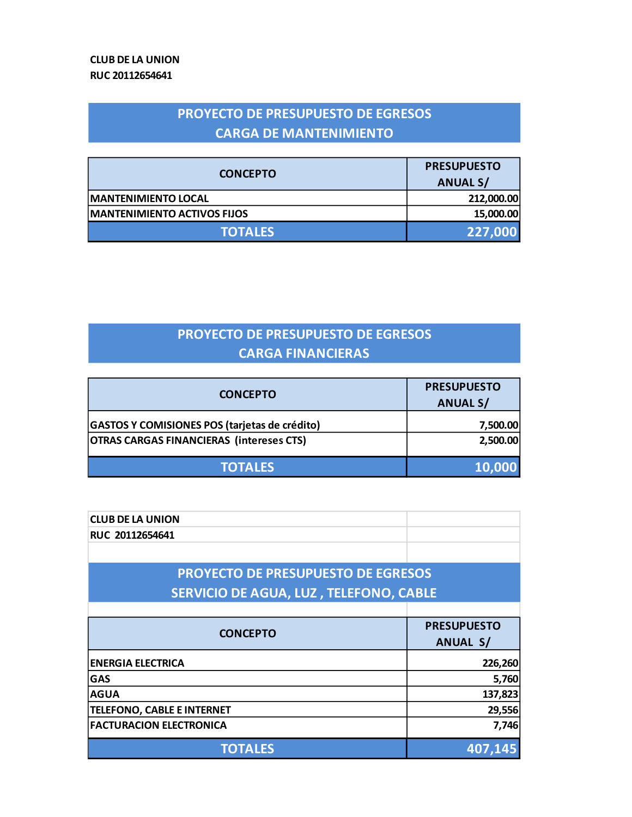### **PROYECTO DE PRESUPUESTO DE EGRESOS CARGA DE MANTENIMIENTO**

|                                    | <b>PRESUPUESTO</b> |
|------------------------------------|--------------------|
| <b>CONCEPTO</b>                    | <b>ANUAL S/</b>    |
| <b>MANTENIMIENTO LOCAL</b>         | 212,000.00         |
| <b>MANTENIMIENTO ACTIVOS FIJOS</b> | 15,000.00          |
| <b>TOTALES</b>                     | 227,000            |

### **PROYECTO DE PRESUPUESTO DE EGRESOS CARGA FINANCIERAS**

| <b>CONCEPTO</b>                                 | <b>PRESUPUESTO</b> |
|-------------------------------------------------|--------------------|
|                                                 | <b>ANUAL S/</b>    |
| GASTOS Y COMISIONES POS (tarjetas de crédito)   | 7,500.00           |
| <b>OTRAS CARGAS FINANCIERAS (intereses CTS)</b> | 2,500.00           |
| <b>TOTALES</b>                                  | 10,000             |

| <b>CLUB DE LA UNION</b>                   |                    |  |
|-------------------------------------------|--------------------|--|
| RUC 20112654641                           |                    |  |
|                                           |                    |  |
| <b>PROYECTO DE PRESUPUESTO DE EGRESOS</b> |                    |  |
| SERVICIO DE AGUA, LUZ, TELEFONO, CABLE    |                    |  |
|                                           |                    |  |
| <b>CONCEPTO</b>                           | <b>PRESUPUESTO</b> |  |
|                                           | <b>ANUAL S/</b>    |  |
| <b>ENERGIA ELECTRICA</b>                  | 226,260            |  |
| <b>GAS</b>                                | 5,760              |  |
| <b>AGUA</b>                               | 137,823            |  |
| <b>TELEFONO, CABLE E INTERNET</b>         | 29,556             |  |
| <b>FACTURACION ELECTRONICA</b>            | 7,746              |  |
| <b>TOTALES</b>                            | 407,145            |  |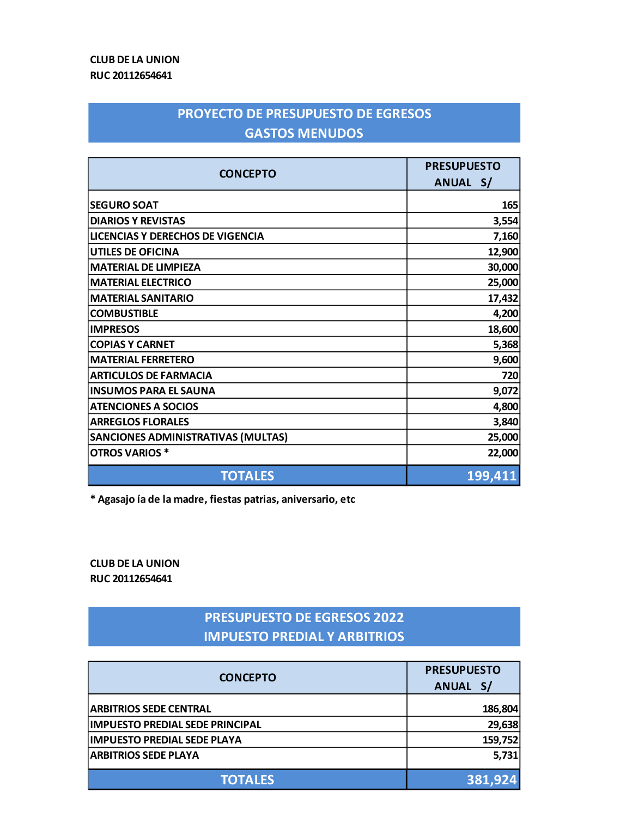#### **CLUB DE LA UNION RUC 20112654641**

#### **PROYECTO DE PRESUPUESTO DE EGRESOS GASTOS MENUDOS**

| <b>CONCEPTO</b>                           | <b>PRESUPUESTO</b> |         |
|-------------------------------------------|--------------------|---------|
|                                           | ANUAL S/           |         |
| <b>SEGURO SOAT</b>                        |                    | 165     |
| <b>DIARIOS Y REVISTAS</b>                 |                    | 3,554   |
| LICENCIAS Y DERECHOS DE VIGENCIA          |                    | 7,160   |
| <b>UTILES DE OFICINA</b>                  |                    | 12,900  |
| <b>MATERIAL DE LIMPIEZA</b>               |                    | 30,000  |
| <b>MATERIAL ELECTRICO</b>                 |                    | 25,000  |
| <b>MATERIAL SANITARIO</b>                 |                    | 17,432  |
| <b>COMBUSTIBLE</b>                        |                    | 4,200   |
| <b>IMPRESOS</b>                           |                    | 18,600  |
| <b>COPIAS Y CARNET</b>                    |                    | 5,368   |
| <b>MATERIAL FERRETERO</b>                 |                    | 9,600   |
| <b>ARTICULOS DE FARMACIA</b>              |                    | 720     |
| <b>INSUMOS PARA EL SAUNA</b>              |                    | 9,072   |
| <b>ATENCIONES A SOCIOS</b>                |                    | 4,800   |
| <b>ARREGLOS FLORALES</b>                  |                    | 3,840   |
| <b>SANCIONES ADMINISTRATIVAS (MULTAS)</b> |                    | 25,000  |
| <b>OTROS VARIOS *</b>                     |                    | 22,000  |
| <b>TOTALES</b>                            |                    | 199,411 |

**\* Agasajo ía de la madre, fiestas patrias, aniversario, etc**

**CLUB DE LA UNION RUC 20112654641**

#### **PRESUPUESTO DE EGRESOS 2022 IMPUESTO PREDIAL Y ARBITRIOS**

| <b>CONCEPTO</b>                        | <b>PRESUPUESTO</b><br>ANUAL S/ |
|----------------------------------------|--------------------------------|
| <b>ARBITRIOS SEDE CENTRAL</b>          | 186,804                        |
| <b>IMPUESTO PREDIAL SEDE PRINCIPAL</b> | 29,638                         |
| <b>IMPUESTO PREDIAL SEDE PLAYA</b>     | 159,752                        |
| <b>ARBITRIOS SEDE PLAYA</b>            | 5,731                          |
| <b>TOTALES</b>                         | 381,924                        |